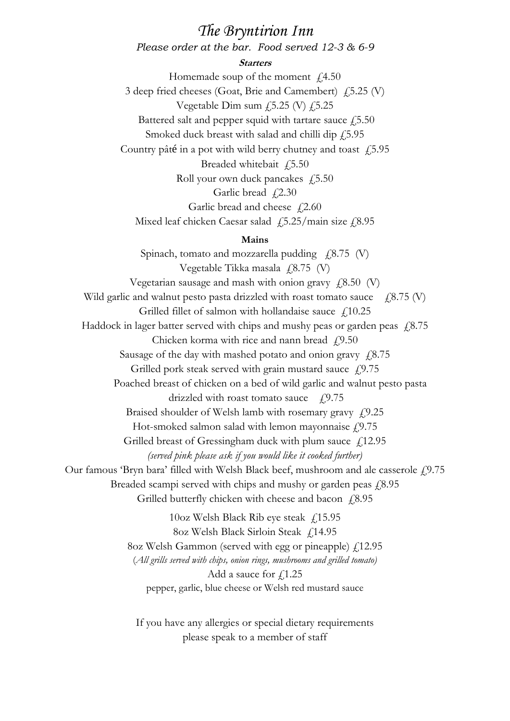# *The Bryntirion Inn Please order at the bar. Food served 12-3 & 6-9*

#### **Starters**

Homemade soup of the moment  $\text{\textsterling}4.50$ 3 deep fried cheeses (Goat, Brie and Camembert) £5.25 (V) Vegetable Dim sum  $f$ 5.25 (V)  $f$ 5.25 Battered salt and pepper squid with tartare sauce  $\text{\emph{f}}\text{,}5.50$ Smoked duck breast with salad and chilli dip  $f(5.95)$ Country pâté in a pot with wild berry chutney and toast  $\sqrt{5.95}$ Breaded whitebait £5.50 Roll your own duck pancakes  $\sqrt{5.50}$ Garlic bread  $f(2.30)$ 

Garlic bread and cheese  $\sqrt{2.60}$ 

Mixed leaf chicken Caesar salad  $\frac{15.25}{\text{main size}}$  £8.95

# **Mains**

Spinach, tomato and mozzarella pudding  $f(8.75 \text{ (V)})$ Vegetable Tikka masala  $(4.8.75)$  (V) Vegetarian sausage and mash with onion gravy  $\angle 8.50$  (V) Wild garlic and walnut pesto pasta drizzled with roast tomato sauce  $\angle$  £8.75 (V) Grilled fillet of salmon with hollandaise sauce  $\int_{\mathcal{L}} 10.25$ Haddock in lager batter served with chips and mushy peas or garden peas  $\frac{1}{8}$ .75 Chicken korma with rice and nann bread  $\sqrt{f}$ , 9.50 Sausage of the day with mashed potato and onion gravy  $\sqrt{6.75}$ Grilled pork steak served with grain mustard sauce  $\sqrt{2.9.75}$ Poached breast of chicken on a bed of wild garlic and walnut pesto pasta drizzled with roast tomato sauce  $\angle 49.75$ Braised shoulder of Welsh lamb with rosemary gravy  $f(9.25)$ Hot-smoked salmon salad with lemon mayonnaise  $f(9.75)$ Grilled breast of Gressingham duck with plum sauce  $\text{\textsterling}12.95$ *(served pink please ask if you would like it cooked further)* Our famous 'Bryn bara' filled with Welsh Black beef, mushroom and ale casserole  $f$ , 9.75 Breaded scampi served with chips and mushy or garden peas  $\sqrt{2.895}$ Grilled butterfly chicken with cheese and bacon  $f$  8.95 10oz Welsh Black Rib eye steak  $\int_{1}^{1}$  5.95 8oz Welsh Black Sirloin Steak £14.95 8oz Welsh Gammon (served with egg or pineapple)  $f(12.95)$ (*All grills served with chips, onion rings, mushrooms and grilled tomato)*

Add a sauce for  $f$ , 1.25

pepper, garlic, blue cheese or Welsh red mustard sauce

If you have any allergies or special dietary requirements please speak to a member of staff